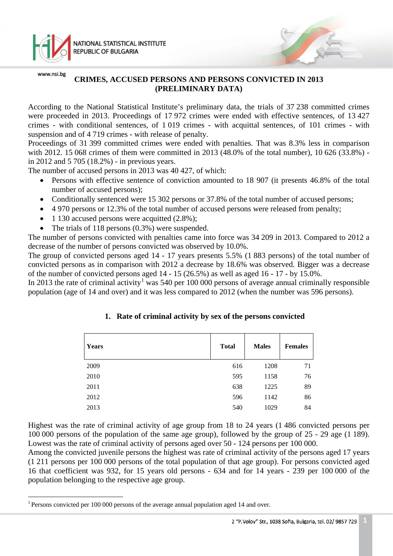

# **CRIMES, ACCUSED PERSONS AND PERSONS CONVICTED IN 2013 (PRELIMINARY DATA)**

According to the National Statistical Institute's preliminary data, the trials of 37 238 committed crimes were proceeded in 2013. Proceedings of 17 972 crimes were ended with effective sentences, of 13 427 crimes - with conditional sentences, of 1 019 crimes - with acquittal sentences, of 101 crimes - with suspension and of 4 719 crimes - with release of penalty.

Proceedings of 31 399 committed crimes were ended with penalties. That was 8.3% less in comparison with 2012. 15 068 crimes of them were committed in 2013 (48.0% of the total number), 10 626 (33.8%) in 2012 and 5 705 (18.2%) - in previous years.

The number of accused persons in 2013 was 40 427, of which:

- Persons with effective sentence of conviction amounted to 18 907 (it presents 46.8% of the total number of accused persons);
- Conditionally sentenced were 15 302 persons or 37.8% of the total number of accused persons;
- 4 970 persons or 12.3% of the total number of accused persons were released from penalty;
- 1 130 accused persons were acquitted  $(2.8\%)$ ;
- The trials of  $118$  persons  $(0.3%)$  were suspended.

The number of persons convicted with penalties came into force was 34 209 in 2013. Compared to 2012 a decrease of the number of persons convicted was observed by 10.0%.

The group of convicted persons aged 14 - 17 years presents 5.5% (1 883 persons) of the total number of convicted persons as in comparison with 2012 a decrease by 18.6% was observed. Bigger was a decrease of the number of convicted persons aged 14 - 15 (26.5%) as well as aged 16 - 17 - by 15.0%.

In 20[1](#page-0-0)3 the rate of criminal activity<sup>1</sup> was 540 per 100 000 persons of average annual criminally responsible population (age of 14 and over) and it was less compared to 2012 (when the number was 596 persons).

| <b>Years</b> | <b>Total</b> | <b>Males</b> | <b>Females</b> |
|--------------|--------------|--------------|----------------|
| 2009         | 616          | 1208         | 71             |
| 2010         | 595          | 1158         | 76             |
| 2011         | 638          | 1225         | 89             |
| 2012         | 596          | 1142         | 86             |
| 2013         | 540          | 1029         | 84             |

# **1. Rate of criminal activity by sex of the persons convicted**

Highest was the rate of criminal activity of age group from 18 to 24 years (1 486 convicted persons per 100 000 persons of the population of the same age group), followed by the group of 25 - 29 age (1 189). Lowest was the rate of criminal activity of persons aged over 50 - 124 persons per 100 000.

Among the convicted juvenile persons the highest was rate of criminal activity of the persons aged 17 years (1 211 persons per 100 000 persons of the total population of that age group). For persons convicted aged 16 that coefficient was 932, for 15 years old persons - 634 and for 14 years - 239 per 100 000 of the population belonging to the respective age group.

<span id="page-0-0"></span> $\frac{1}{\sqrt{2}}$ <sup>1</sup> Persons convicted per 100 000 persons of the average annual population aged 14 and over.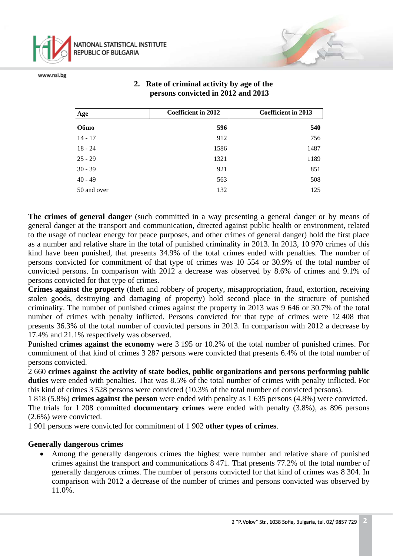

# **2. Rate of criminal activity by age of the persons convicted in 2012 and 2013**

| Age         | <b>Coefficient in 2012</b> | <b>Coefficient in 2013</b> |
|-------------|----------------------------|----------------------------|
| Общо        | 596                        | 540                        |
| $14 - 17$   | 912                        | 756                        |
| $18 - 24$   | 1586                       | 1487                       |
| $25 - 29$   | 1321                       | 1189                       |
| $30 - 39$   | 921                        | 851                        |
| $40 - 49$   | 563                        | 508                        |
| 50 and over | 132                        | 125                        |

**The crimes of general danger** (such committed in a way presenting a general danger or by means of general danger at the transport and communication, directed against public health or environment, related to the usage of nuclear energy for peace purposes, and other crimes of general danger) hold the first place as a number and relative share in the total of punished criminality in 2013. In 2013, 10 970 crimes of this kind have been punished, that presents 34.9% of the total crimes ended with penalties. The number of persons convicted for commitment of that type of crimes was 10 554 or 30.9% of the total number of convicted persons. In comparison with 2012 a decrease was observed by 8.6% of crimes and 9.1% of persons convicted for that type of crimes.

**Crimes against the property** (theft and robbery of property, misappropriation, fraud, extortion, receiving stolen goods, destroying and damaging of property) hold second place in the structure of punished criminality. The number of punished crimes against the property in 2013 was 9 646 or 30.7% of the total number of crimes with penalty inflicted. Persons convicted for that type of crimes were 12 408 that presents 36.3% of the total number of convicted persons in 2013. In comparison with 2012 a decrease by 17.4% and 21.1% respectively was observed.

Punished **crimes against the economy** were 3 195 or 10.2% of the total number of punished crimes. For commitment of that kind of crimes 3 287 persons were convicted that presents 6.4% of the total number of persons convicted.

2 660 **crimes against the activity of state bodies, public organizations and persons performing public duties** were ended with penalties. That was 8.5% of the total number of crimes with penalty inflicted. For this kind of crimes 3 528 persons were convicted (10.3% of the total number of convicted persons).

1 818 (5.8%) **crimes against the person** were ended with penalty as 1 635 persons (4.8%) were convicted. The trials for 1 208 committed **documentary crimes** were ended with penalty (3.8%), as 896 persons (2.6%) were convicted.

1 901 persons were convicted for commitment of 1 902 **other types of crimes**.

#### **Generally dangerous crimes**

Among the generally dangerous crimes the highest were number and relative share of punished crimes against the transport and communications 8 471. That presents 77.2% of the total number of generally dangerous crimes. The number of persons convicted for that kind of crimes was 8 304. In comparison with 2012 a decrease of the number of crimes and persons convicted was observed by 11.0%.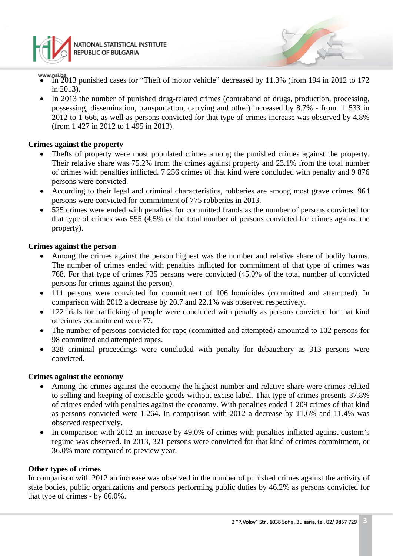

NATIONAL STATISTICAL INSTITUTE **REPUBLIC OF BULGARIA** 

- In 2013 punished cases for "Theft of motor vehicle" decreased by 11.3% (from 194 in 2012 to 172 in 2013).
- In 2013 the number of punished drug-related crimes (contraband of drugs, production, processing, possessing, dissemination, transportation, carrying and other) increased by 8.7% - from 1 533 in 2012 to 1 666, as well as persons convicted for that type of crimes increase was observed by 4.8% (from 1 427 in 2012 to 1 495 in 2013).

### **Crimes against the property**

- Thefts of property were most populated crimes among the punished crimes against the property. Their relative share was 75.2% from the crimes against property and 23.1% from the total number of crimes with penalties inflicted. 7 256 crimes of that kind were concluded with penalty and 9 876 persons were convicted.
- According to their legal and criminal characteristics, robberies are among most grave crimes. 964 persons were convicted for commitment of 775 robberies in 2013.
- 525 crimes were ended with penalties for committed frauds as the number of persons convicted for that type of crimes was 555 (4.5% of the total number of persons convicted for crimes against the property).

#### **Crimes against the person**

- Among the crimes against the person highest was the number and relative share of bodily harms. The number of crimes ended with penalties inflicted for commitment of that type of crimes was 768. For that type of crimes 735 persons were convicted (45.0% of the total number of convicted persons for crimes against the person).
- 111 persons were convicted for commitment of 106 homicides (committed and attempted). In comparison with 2012 a decrease by 20.7 and 22.1% was observed respectively.
- 122 trials for trafficking of people were concluded with penalty as persons convicted for that kind of crimes commitment were 77.
- The number of persons convicted for rape (committed and attempted) amounted to 102 persons for 98 committed and attempted rapes.
- 328 criminal proceedings were concluded with penalty for debauchery as 313 persons were convicted.

#### **Crimes against the economy**

- Among the crimes against the economy the highest number and relative share were crimes related to selling and keeping of excisable goods without excise label. That type of crimes presents 37.8% of crimes ended with penalties against the economy. With penalties ended 1 209 crimes of that kind as persons convicted were 1 264. In comparison with 2012 a decrease by 11.6% and 11.4% was observed respectively.
- In comparison with 2012 an increase by 49.0% of crimes with penalties inflicted against custom's regime was observed. In 2013, 321 persons were convicted for that kind of crimes commitment, or 36.0% more compared to preview year.

#### **Other types of crimes**

In comparison with 2012 an increase was observed in the number of punished crimes against the activity of state bodies, public organizations and persons performing public duties by 46.2% as persons convicted for that type of crimes - by 66.0%.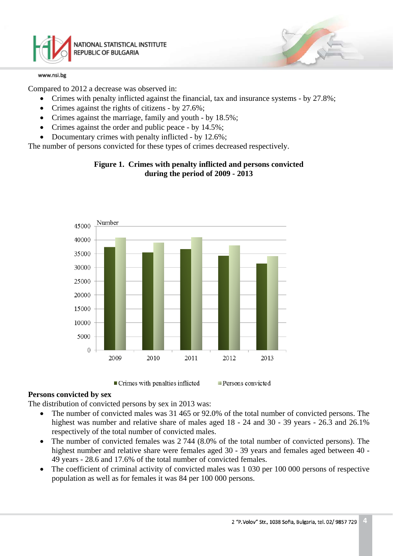

Compared to 2012 a decrease was observed in:

- Crimes with penalty inflicted against the financial, tax and insurance systems by 27.8%;
- Crimes against the rights of citizens by 27.6%;
- Crimes against the marriage, family and youth by 18.5%;
- Crimes against the order and public peace by 14.5%;
- Documentary crimes with penalty inflicted by 12.6%;

The number of persons convicted for these types of crimes decreased respectively.

## **Figure 1. Crimes with penalty inflicted and persons convicted during the period of 2009 - 2013**





Persons convicted

## **Persons convicted by sex**

The distribution of convicted persons by sex in 2013 was:

- The number of convicted males was 31 465 or 92.0% of the total number of convicted persons. The highest was number and relative share of males aged 18 - 24 and 30 - 39 years - 26.3 and 26.1% respectively of the total number of convicted males.
- The number of convicted females was 2 744 (8.0% of the total number of convicted persons). The highest number and relative share were females aged 30 - 39 years and females aged between 40 - 49 years - 28.6 and 17.6% of the total number of convicted females.
- The coefficient of criminal activity of convicted males was 1 030 per 100 000 persons of respective population as well as for females it was 84 per 100 000 persons.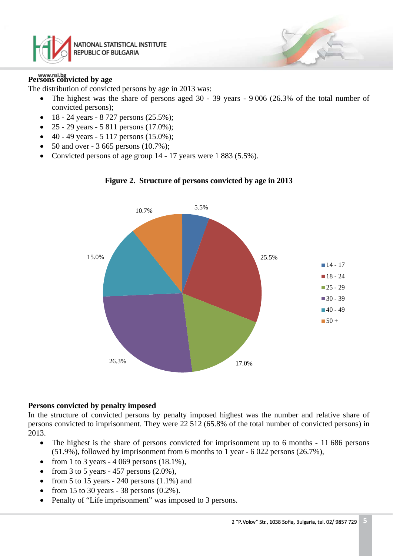

# **Persons convicted by age**

The distribution of convicted persons by age in 2013 was:

- The highest was the share of persons aged 30 39 years 9 006 (26.3% of the total number of convicted persons);
- 18 24 years 8 727 persons (25.5%);
- 25 29 years 5 811 persons  $(17.0\%)$ ;
- $40 49$  years  $5$  117 persons (15.0%);
- 50 and over 3 665 persons (10.7%);
- Convicted persons of age group 14 17 years were 1 883 (5.5%).





#### **Persons convicted by penalty imposed**

In the structure of convicted persons by penalty imposed highest was the number and relative share of persons convicted to imprisonment. They were 22 512 (65.8% of the total number of convicted persons) in 2013.

- The highest is the share of persons convicted for imprisonment up to 6 months 11 686 persons (51.9%), followed by imprisonment from 6 months to 1 year - 6 022 persons (26.7%),
- from 1 to 3 years  $-4.069$  persons  $(18.1\%)$ ,
- from 3 to 5 years 457 persons  $(2.0\%)$ ,
- from 5 to 15 years 240 persons  $(1.1\%)$  and
- from 15 to 30 years 38 persons  $(0.2\%)$ .
- Penalty of "Life imprisonment" was imposed to 3 persons.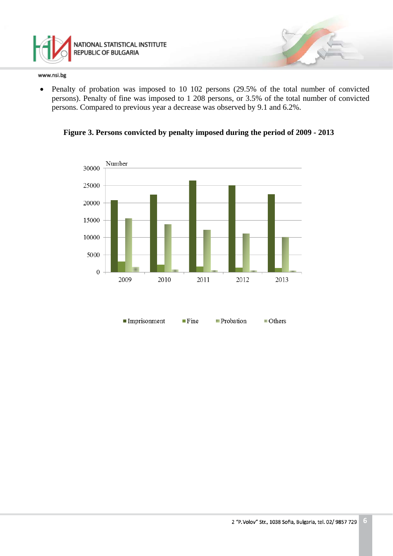

• Penalty of probation was imposed to 10 102 persons (29.5% of the total number of convicted persons). Penalty of fine was imposed to 1 208 persons, or 3.5% of the total number of convicted persons. Compared to previous year a decrease was observed by 9.1 and 6.2%.



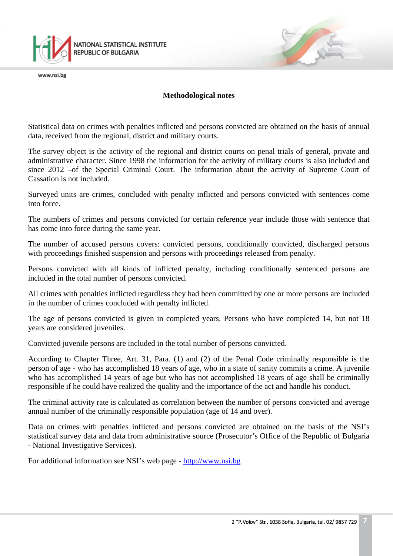

### **Methodological notes**

Statistical data on crimes with penalties inflicted and persons convicted are obtained on the basis of annual data, received from the regional, district and military courts.

The survey object is the activity of the regional and district courts on penal trials of general, private and administrative character. Since 1998 the information for the activity of military courts is also included and since 2012 –of the Special Criminal Court. The information about the activity of Supreme Court of Cassation is not included.

Surveyed units are crimes, concluded with penalty inflicted and persons convicted with sentences come into force.

The numbers of crimes and persons convicted for certain reference year include those with sentence that has come into force during the same year.

The number of accused persons covers: convicted persons, conditionally convicted, discharged persons with proceedings finished suspension and persons with proceedings released from penalty.

Persons convicted with all kinds of inflicted penalty, including conditionally sentenced persons are included in the total number of persons convicted.

All crimes with penalties inflicted regardless they had been committed by one or more persons are included in the number of crimes concluded with penalty inflicted.

The age of persons convicted is given in completed years. Persons who have completed 14, but not 18 years are considered juveniles.

Convicted juvenile persons are included in the total number of persons convicted.

According to Chapter Three, Art. 31, Para. (1) and (2) of the Penal Code criminally responsible is the person of age - who has accomplished 18 years of age, who in a state of sanity commits a crime. A juvenile who has accomplished 14 years of age but who has not accomplished 18 years of age shall be criminally responsible if he could have realized the quality and the importance of the act and handle his conduct.

The criminal activity rate is calculated as correlation between the number of persons convicted and average annual number of the criminally responsible population (age of 14 and over).

Data on crimes with penalties inflicted and persons convicted are obtained on the basis of the NSI's statistical survey data and data from administrative source (Prosecutor's Office of the Republic of Bulgaria - National Investigative Services).

For additional information see NSI's web page - [http://www.nsi.bg](http://www.nsi.bg/)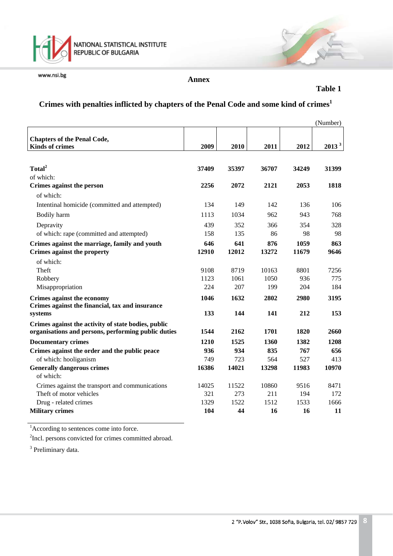

**Annex**

**Table 1**

# **Crimes with penalties inflicted by chapters of the Penal Code and some kind of crimes<sup>1</sup>**

|                                                              |       |       |       |       | (Number)          |
|--------------------------------------------------------------|-------|-------|-------|-------|-------------------|
| <b>Chapters of the Penal Code,</b><br><b>Kinds of crimes</b> | 2009  | 2010  | 2011  | 2012  | 2013 <sup>3</sup> |
|                                                              |       |       |       |       |                   |
| Total <sup>2</sup>                                           | 37409 | 35397 | 36707 | 34249 | 31399             |
| of which:                                                    |       |       |       |       |                   |
| Crimes against the person                                    | 2256  | 2072  | 2121  | 2053  | 1818              |
| of which:                                                    |       |       |       |       |                   |
| Intentinal homicide (committed and attempted)                | 134   | 149   | 142   | 136   | 106               |
| Bodily harm                                                  | 1113  | 1034  | 962   | 943   | 768               |
| Depravity                                                    | 439   | 352   | 366   | 354   | 328               |
| of which: rape (committed and attempted)                     | 158   | 135   | 86    | 98    | 98                |
| Crimes against the marriage, family and youth                | 646   | 641   | 876   | 1059  | 863               |
| Crimes against the property                                  | 12910 | 12012 | 13272 | 11679 | 9646              |
| of which:                                                    |       |       |       |       |                   |
| Theft                                                        | 9108  | 8719  | 10163 | 8801  | 7256              |
| Robbery                                                      | 1123  | 1061  | 1050  | 936   | 775               |
| Misappropriation                                             | 224   | 207   | 199   | 204   | 184               |
| Crimes against the economy                                   | 1046  | 1632  | 2802  | 2980  | 3195              |
| Crimes against the financial, tax and insurance              |       |       |       |       |                   |
| systems                                                      | 133   | 144   | 141   | 212   | 153               |
| Crimes against the activity of state bodies, public          |       |       |       |       |                   |
| organisations and persons, performing public duties          | 1544  | 2162  | 1701  | 1820  | 2660              |
| <b>Documentary crimes</b>                                    | 1210  | 1525  | 1360  | 1382  | 1208              |
| Crimes against the order and the public peace                | 936   | 934   | 835   | 767   | 656               |
| of which: hooliganism                                        | 749   | 723   | 564   | 527   | 413               |
| <b>Generally dangerous crimes</b><br>of which:               | 16386 | 14021 | 13298 | 11983 | 10970             |
| Crimes against the transport and communications              | 14025 | 11522 | 10860 | 9516  | 8471              |
| Theft of motor vehicles                                      | 321   | 273   | 211   | 194   | 172               |
| Drug - related crimes                                        | 1329  | 1522  | 1512  | 1533  | 1666              |
| <b>Military crimes</b>                                       | 104   | 44    | 16    | 16    | 11                |

<sup>1</sup>According to sentences come into force.

<sup>2</sup>Incl. persons convicted for crimes committed abroad.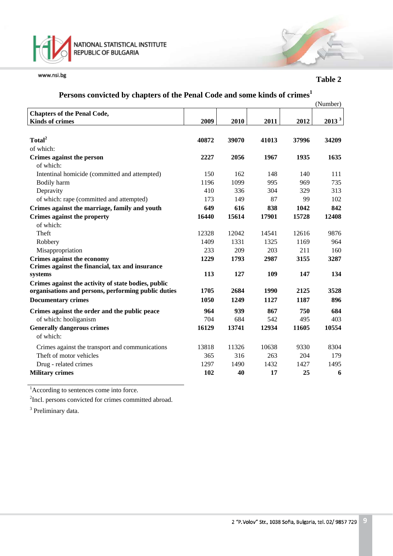

**Table 2**

# **Persons convicted by chapters of the Penal Code and some kinds of crimes<sup>1</sup>**

|                                                     |       |       |       |       | (Number) |
|-----------------------------------------------------|-------|-------|-------|-------|----------|
| <b>Chapters of the Penal Code,</b>                  |       |       |       |       |          |
| <b>Kinds of crimes</b>                              | 2009  | 2010  | 2011  | 2012  | $2013^3$ |
|                                                     |       |       |       |       |          |
| Total <sup>2</sup>                                  | 40872 | 39070 | 41013 | 37996 | 34209    |
| of which:                                           |       |       |       |       |          |
| Crimes against the person                           | 2227  | 2056  | 1967  | 1935  | 1635     |
| of which:                                           |       |       |       |       |          |
| Intentinal homicide (committed and attempted)       | 150   | 162   | 148   | 140   | 111      |
| Bodily harm                                         | 1196  | 1099  | 995   | 969   | 735      |
| Depravity                                           | 410   | 336   | 304   | 329   | 313      |
| of which: rape (committed and attempted)            | 173   | 149   | 87    | 99    | 102      |
| Crimes against the marriage, family and youth       | 649   | 616   | 838   | 1042  | 842      |
| Crimes against the property                         | 16440 | 15614 | 17901 | 15728 | 12408    |
| of which:                                           |       |       |       |       |          |
| Theft                                               | 12328 | 12042 | 14541 | 12616 | 9876     |
| Robbery                                             | 1409  | 1331  | 1325  | 1169  | 964      |
| Misappropriation                                    | 233   | 209   | 203   | 211   | 160      |
| Crimes against the economy                          | 1229  | 1793  | 2987  | 3155  | 3287     |
| Crimes against the financial, tax and insurance     |       |       |       |       |          |
| systems                                             | 113   | 127   | 109   | 147   | 134      |
| Crimes against the activity of state bodies, public |       |       |       |       |          |
| organisations and persons, performing public duties | 1705  | 2684  | 1990  | 2125  | 3528     |
| <b>Documentary crimes</b>                           | 1050  | 1249  | 1127  | 1187  | 896      |
| Crimes against the order and the public peace       | 964   | 939   | 867   | 750   | 684      |
| of which: hooliganism                               | 704   | 684   | 542   | 495   | 403      |
| <b>Generally dangerous crimes</b>                   | 16129 | 13741 | 12934 | 11605 | 10554    |
| of which:                                           |       |       |       |       |          |
| Crimes against the transport and communications     | 13818 | 11326 | 10638 | 9330  | 8304     |
| Theft of motor vehicles                             | 365   | 316   | 263   | 204   | 179      |
| Drug - related crimes                               | 1297  | 1490  | 1432  | 1427  | 1495     |
| <b>Military crimes</b>                              | 102   | 40    | 17    | 25    | 6        |

<sup>1</sup>According to sentences come into force.

<sup>2</sup>Incl. persons convicted for crimes committed abroad.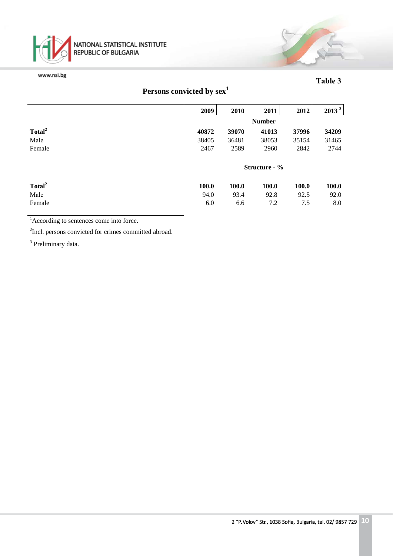

### **Таble 3**

|  | Persons convicted by sex <sup>1</sup> |  |  |
|--|---------------------------------------|--|--|
|--|---------------------------------------|--|--|

|                    | 2009          | 2010  | 2011          | 2012  | 2013 <sup>3</sup> |
|--------------------|---------------|-------|---------------|-------|-------------------|
|                    |               |       | <b>Number</b> |       |                   |
| Total <sup>2</sup> | 40872         | 39070 | 41013         | 37996 | 34209             |
| Male               | 38405         | 36481 | 38053         | 35154 | 31465             |
| Female             | 2467          | 2589  | 2960          | 2842  | 2744              |
|                    | Structure - % |       |               |       |                   |
| Total <sup>2</sup> | 100.0         | 100.0 | <b>100.0</b>  | 100.0 | 100.0             |
| Male               | 94.0          | 93.4  | 92.8          | 92.5  | 92.0              |
| Female             | 6.0           | 6.6   | 7.2           | 7.5   | 8.0               |

<sup>1</sup>According to sentences come into force.

<sup>2</sup>Incl. persons convicted for crimes committed abroad.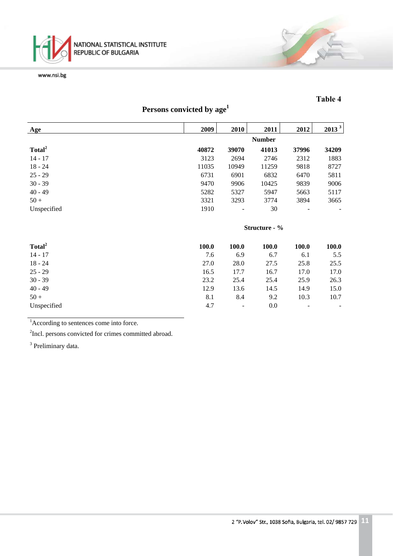

## **Таble 4**

13

# **Persons convicted by age<sup>1</sup>**

| Age                | 2009          | 2010  | 2011          | 2012  | 2013 <sup>3</sup> |
|--------------------|---------------|-------|---------------|-------|-------------------|
|                    |               |       | <b>Number</b> |       |                   |
| Total <sup>2</sup> | 40872         | 39070 | 41013         | 37996 | 34209             |
| $14 - 17$          | 3123          | 2694  | 2746          | 2312  | 1883              |
| $18 - 24$          | 11035         | 10949 | 11259         | 9818  | 8727              |
| $25 - 29$          | 6731          | 6901  | 6832          | 6470  | 5811              |
| $30 - 39$          | 9470          | 9906  | 10425         | 9839  | 9006              |
| $40 - 49$          | 5282          | 5327  | 5947          | 5663  | 5117              |
| $50 +$             | 3321          | 3293  | 3774          | 3894  | 3665              |
| Unspecified        | 1910          | -     | 30            |       |                   |
|                    | Structure - % |       |               |       |                   |

| Total <sup>2</sup> | 100.0 | <b>100.0</b> | 100.0 | <b>100.0</b>             | <b>100.0</b> |
|--------------------|-------|--------------|-------|--------------------------|--------------|
| $14 - 17$          | 7.6   | 6.9          | 6.7   | 6.1                      | 5.5          |
| $18 - 24$          | 27.0  | 28.0         | 27.5  | 25.8                     | 25.5         |
| $25 - 29$          | 16.5  | 17.7         | 16.7  | 17.0                     | 17.0         |
| $30 - 39$          | 23.2  | 25.4         | 25.4  | 25.9                     | 26.3         |
| $40 - 49$          | 12.9  | 13.6         | 14.5  | 14.9                     | 15.0         |
| $50 +$             | 8.1   | 8.4          | 9.2   | 10.3                     | 10.7         |
| Unspecified        | 4.7   | -            | 0.0   | $\overline{\phantom{0}}$ |              |

<sup>1</sup>According to sentences come into force.

<sup>2</sup>Incl. persons convicted for crimes committed abroad.